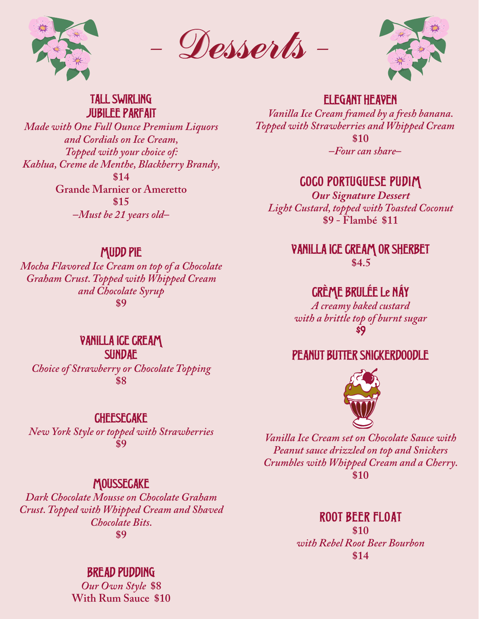

Desserts



#### TALL SWIRLING JUBILEE PARFAIT

*Made with One Full Ounce Premium Liquors and Cordials on Ice Cream, Topped with your choice of: Kahlua, Creme de Menthe, Blackberry Brandy,* **\$14 Grande Marnier or Ameretto \$15 –***Must be 21 years old***–**

## ELEGANT HEAVEN

*Vanilla Ice Cream framed by a fresh banana. Topped with Strawberries and Whipped Cream* **\$10 –***Four can share***–**

# COCO PORTUGUESE PUDIM

*Our Signature Dessert Light Custard, topped with Toasted Coconut* **\$9 - Flambé \$11**

> VANILLA ICE CREAM OR SHERBET **\$4.5**

# CRÈME BRULÉE Le NÁY

*A creamy baked custard with a brittle top of burnt sugar* \$9

# PEANUT BUTTER SNICKERDOODLE



*Vanilla Ice Cream set on Chocolate Sauce with Peanut sauce drizzled on top and Snickers Crumbles with Whipped Cream and a Cherry.* **\$10**

## ROOT BEER FLOAT

**\$10** *with Rebel Root Beer Bourbon* **\$14**

## MUDD PIE

*Mocha Flavored Ice Cream on top of a Chocolate Graham Crust. Topped with Whipped Cream and Chocolate Syrup* **\$9**

> VANILLA ICE CREAM SUNDAE

*Choice of Strawberry or Chocolate Topping* **\$8**

### **CHEESECAKE**

*New York Style or topped with Strawberries* **\$9**

### **MOUSSECAKE**

*Dark Chocolate Mousse on Chocolate Graham Crust. Topped with Whipped Cream and Shaved Chocolate Bits.* **\$9**

# BREAD PUDDING

*Our Own Style* **\$8 With Rum Sauce \$10**